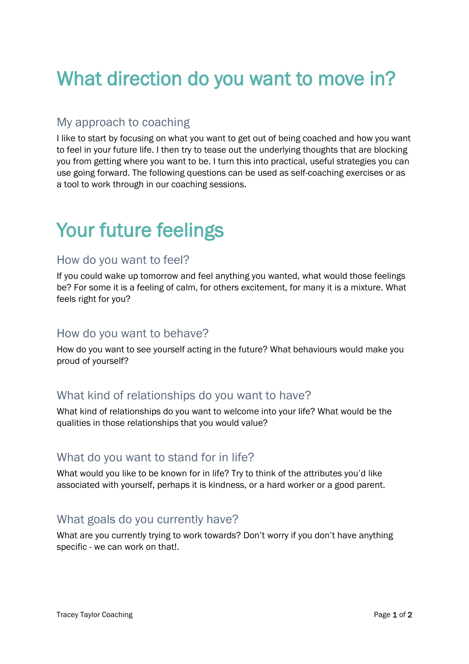# What direction do you want to move in?

### My approach to coaching

I like to start by focusing on what you want to get out of being coached and how you want to feel in your future life. I then try to tease out the underlying thoughts that are blocking you from getting where you want to be. I turn this into practical, useful strategies you can use going forward. The following questions can be used as self-coaching exercises or as a tool to work through in our coaching sessions.

# Your future feelings

#### How do you want to feel?

If you could wake up tomorrow and feel anything you wanted, what would those feelings be? For some it is a feeling of calm, for others excitement, for many it is a mixture. What feels right for you?

#### How do you want to behave?

How do you want to see yourself acting in the future? What behaviours would make you proud of yourself?

### What kind of relationships do you want to have?

What kind of relationships do you want to welcome into your life? What would be the qualities in those relationships that you would value?

#### What do you want to stand for in life?

What would you like to be known for in life? Try to think of the attributes you'd like associated with yourself, perhaps it is kindness, or a hard worker or a good parent.

### What goals do you currently have?

What are you currently trying to work towards? Don't worry if you don't have anything specific - we can work on that!.